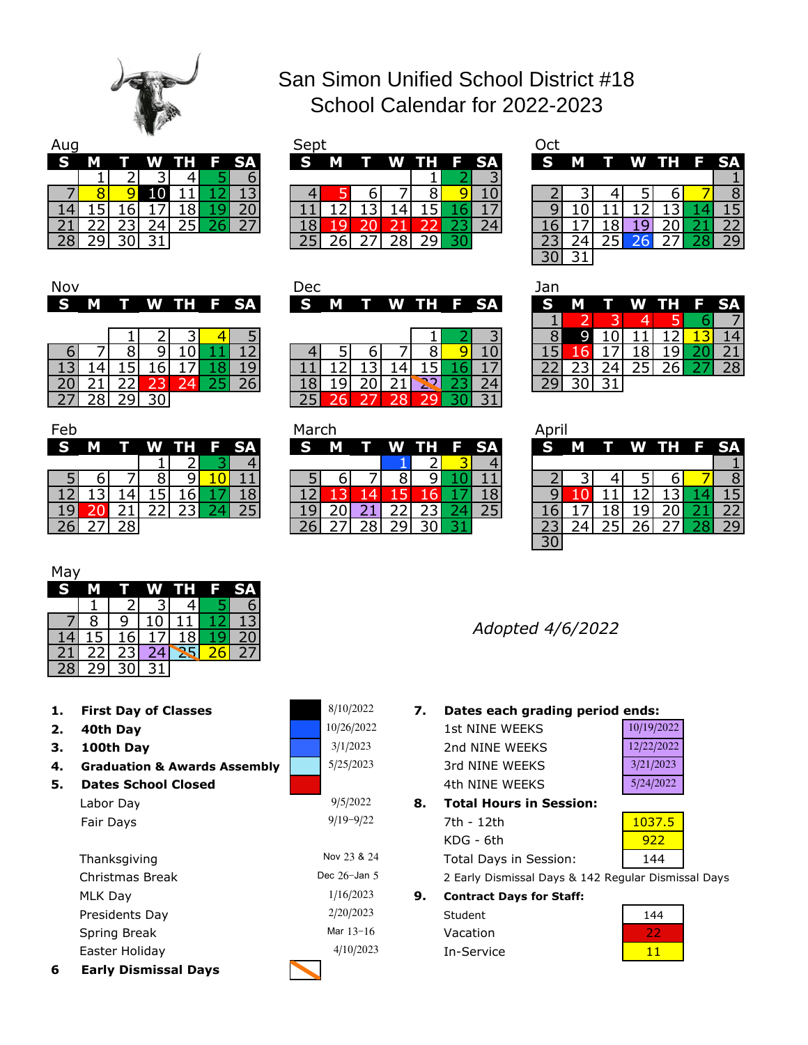

## San Simon Unified School District #18 School Calendar for 2022-2023

| Aug |  | $\sim$ |       |        | Sept     |   |             |      |      |  |
|-----|--|--------|-------|--------|----------|---|-------------|------|------|--|
| S   |  | w      | m e s | - F SA | <b>S</b> | M | <b>TILE</b> | W TH | F SA |  |
|     |  |        |       |        |          |   |             |      |      |  |
|     |  |        |       |        |          |   |             |      |      |  |
|     |  |        |       |        |          |   |             |      |      |  |
|     |  |        |       |        |          |   |             |      |      |  |
|     |  | $\sim$ |       |        |          |   |             |      |      |  |

| w  |   |   |     |      |           | <b>SED</b> |          |   |           |  | しじし      |   |  |             |    |
|----|---|---|-----|------|-----------|------------|----------|---|-----------|--|----------|---|--|-------------|----|
| S  | М | w | WH. | / F/ | <b>SA</b> | S          | <b>M</b> | т | W TH F SA |  | <b>S</b> | M |  | T W TH F SA |    |
|    |   |   |     |      |           |            |          |   |           |  |          |   |  |             |    |
|    |   |   |     |      |           |            |          |   |           |  |          |   |  |             |    |
|    |   |   |     |      |           |            |          |   |           |  |          |   |  |             |    |
| ۷. |   |   |     |      |           |            |          |   |           |  |          |   |  |             |    |
| ۷J |   |   |     |      |           |            |          |   |           |  |          |   |  |             | 29 |

| Oct |   |                 |          |                 |                     |  |
|-----|---|-----------------|----------|-----------------|---------------------|--|
|     | м |                 |          | W TH            | ٠Þ                  |  |
|     |   |                 |          |                 |                     |  |
|     |   |                 |          | า               |                     |  |
|     |   |                 | 2        |                 |                     |  |
|     |   | 8               | <u>g</u> |                 |                     |  |
|     |   | $\overline{25}$ | 26       | $2\overline{7}$ | $\overline{2}$<br>8 |  |
|     |   |                 |          |                 |                     |  |

| Nov      |   |  |  |             | Dec |  |                 |  | Jan |   |              |   |         |    |
|----------|---|--|--|-------------|-----|--|-----------------|--|-----|---|--------------|---|---------|----|
| <b>S</b> | M |  |  | T W TH F SA |     |  | S M T W TH F SA |  | S   | м | $\mathbf{T}$ | W | TH F SA |    |
|          |   |  |  |             |     |  |                 |  |     |   |              |   |         |    |
|          |   |  |  |             |     |  |                 |  |     |   |              |   |         |    |
|          |   |  |  |             |     |  |                 |  |     |   |              |   |         |    |
|          |   |  |  |             |     |  |                 |  |     |   |              |   |         | 28 |
|          |   |  |  |             |     |  |                 |  |     |   |              |   |         |    |
|          |   |  |  |             |     |  |                 |  |     |   |              |   |         |    |

| Feb |   |   |   |        |    |
|-----|---|---|---|--------|----|
| ⊝   |   |   |   | ĪI<br> | SА |
|     |   |   |   | 2      |    |
|     | ∍ |   | 8 | q      |    |
|     |   |   |   | 6      | 8  |
|     |   |   |   |        |    |
|     |   | 8 |   |        |    |

|    | S M |  | T W TH F SA |  | IS M T W TH F SA |  |  |  | <b>S</b> | M |  | T W TH F SA |    |
|----|-----|--|-------------|--|------------------|--|--|--|----------|---|--|-------------|----|
|    |     |  |             |  |                  |  |  |  |          |   |  |             |    |
|    |     |  |             |  |                  |  |  |  |          |   |  |             | 14 |
|    |     |  |             |  |                  |  |  |  |          |   |  |             |    |
|    |     |  |             |  |                  |  |  |  |          |   |  |             | 28 |
| 20 |     |  |             |  |                  |  |  |  |          |   |  |             |    |
|    | ⊃ຂ⊩ |  |             |  |                  |  |  |  |          |   |  |             |    |

| Feb      |          |    |  |             | March |   |  |  |             | Apri     |   |  |             |    |
|----------|----------|----|--|-------------|-------|---|--|--|-------------|----------|---|--|-------------|----|
| <b>S</b> | <b>M</b> |    |  | T W TH F SA | S     | M |  |  | T W TH F SA | S        | M |  | T W TH F SA |    |
|          |          |    |  |             |       |   |  |  |             |          |   |  |             |    |
|          |          |    |  |             |       |   |  |  |             |          |   |  |             |    |
|          |          |    |  |             |       |   |  |  |             |          |   |  |             |    |
|          |          |    |  |             |       |   |  |  |             |          |   |  |             |    |
|          |          | ിറ |  |             |       |   |  |  |             |          |   |  |             | つロ |
|          |          |    |  |             |       |   |  |  |             | $\Omega$ |   |  |             |    |

| Jan |   |   |              |    |                 |
|-----|---|---|--------------|----|-----------------|
|     |   |   |              | TН | SΑ              |
|     |   |   |              |    |                 |
| 8   |   |   |              |    |                 |
|     | О |   | 8            |    |                 |
| 22  |   | 4 | $25^{\circ}$ | 6  | $\overline{28}$ |
|     |   |   |              |    |                 |

| April        |                 |      |   |    |    |
|--------------|-----------------|------|---|----|----|
| G            | I               | W TH |   | F  | S. |
|              |                 |      |   |    |    |
| $\mathbf{z}$ |                 | 5.   | 6 |    |    |
|              |                 | 2    |   |    |    |
|              | 8               |      |   |    |    |
|              | $2\overline{F}$ | 6    |   | 28 |    |
|              |                 |      |   |    |    |

| May |   |    |        |    |
|-----|---|----|--------|----|
| Ω   |   | WV | Н<br>Н | SA |
|     |   |    |        |    |
|     |   |    |        |    |
|     | О |    |        |    |
|     |   |    |        |    |

**First Day of Classes**

28 29 30 31

- **2. 40th Day**
- **3. 100th Day**

**6**

- **4. Graduation & Awards Assembly**
- **5. Dates School Closed** Fair Days Labor Day

| 6 | <b>Early Dismissal Days</b> |                 |    |
|---|-----------------------------|-----------------|----|
|   | Easter Holiday              | 4/10/2023       |    |
|   | Spring Break                | Mar $13 - 16$   |    |
|   | Presidents Day              | 2/20/2023       |    |
|   | MLK Day                     | 1/16/2023       | 9. |
|   | Christmas Break             | Dec $26$ -Jan 5 |    |
|   | Thanksgiving                | Nov 23 & 24     |    |
|   |                             |                 |    |

| 8/10/2022  |
|------------|
| 10/26/2022 |
| 3/1/2023   |
| 5/25/2023  |

9/5/2022

9/19-9/22

*Adopted 4/6/2022*

**1. 7. Dates each grading period ends:**

| 10/26/2022 | 1st NINE WEEKS | 10/19/2022 |
|------------|----------------|------------|
| 3/1/2023   | 2nd NINE WEEKS | 12/22/2022 |
| 5/25/2023  | 3rd NINE WEEKS | 3/21/2023  |
|            | 4th NINF WFFKS | 5/24/2022  |
|            |                |            |

**8. Total Hours in Session:** 7th - 12th 1037.5 KDG - 6th Total Days in Session:

922 144

2 Early Dismissal Days & 142 Regular Dismissal Days

**Contract Days for Staff:** Student  $5$  Vacation

In-Service

| 144 |
|-----|
|     |
|     |